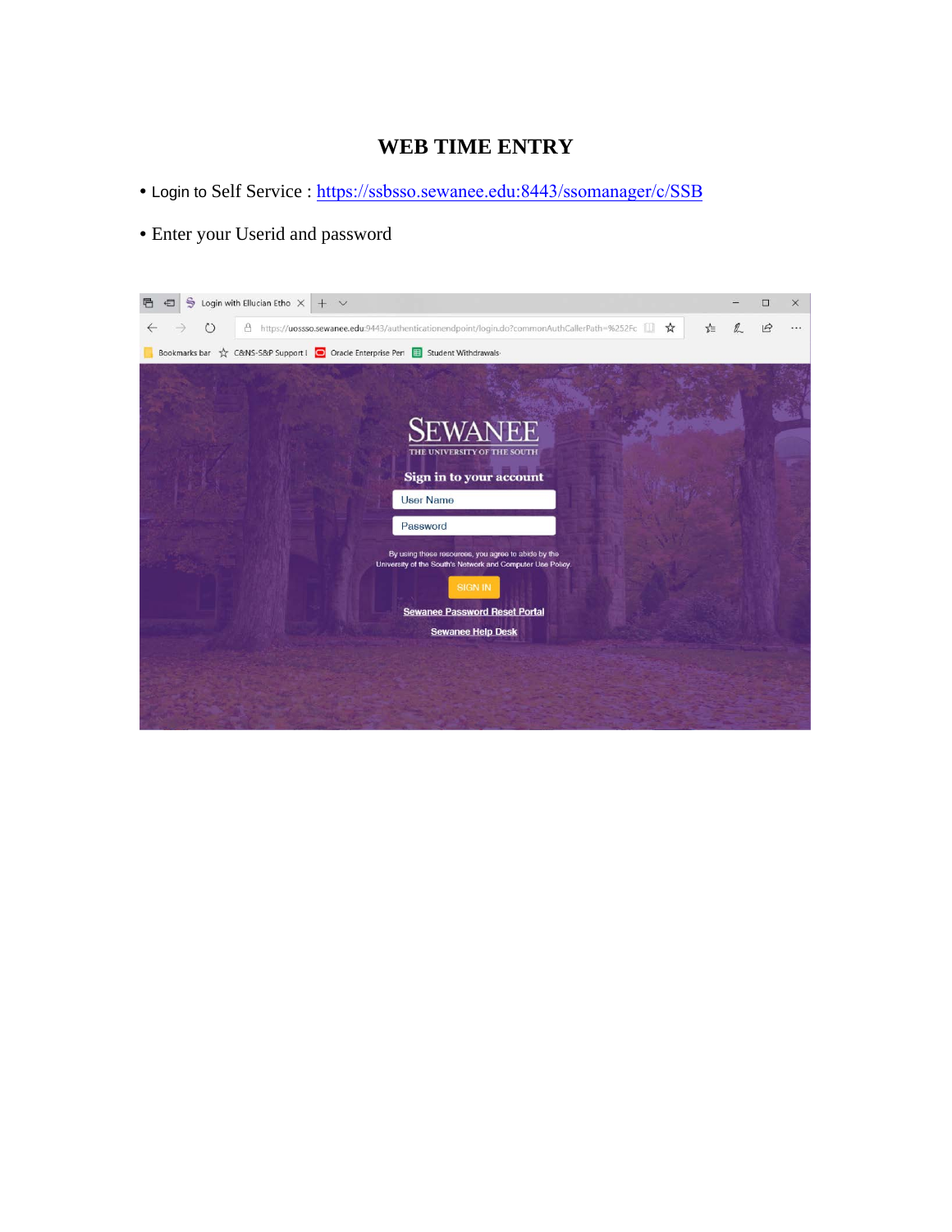# **WEB TIME ENTRY**

- Login to Self Service : <https://ssbsso.sewanee.edu:8443/ssomanager/c/SSB>
- Enter your Userid and password

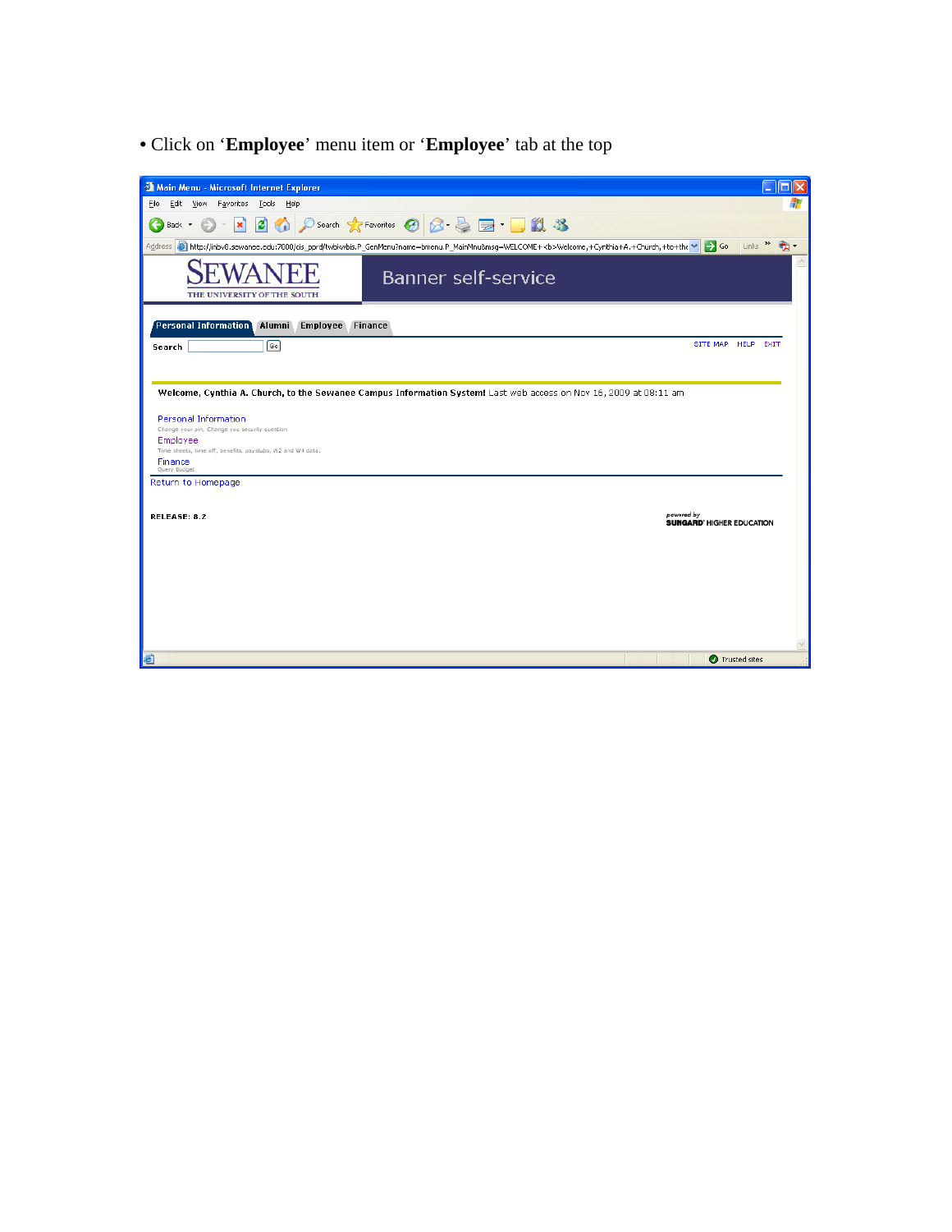• Click on '**Employee**' menu item or '**Employee**' tab at the top

| Main Menu - Microsoft Internet Explorer                                |                                                                                                                                                                                        | п                      |
|------------------------------------------------------------------------|----------------------------------------------------------------------------------------------------------------------------------------------------------------------------------------|------------------------|
| Edit<br>View Favorites Tools Help<br>Eile                              |                                                                                                                                                                                        |                        |
| đ١<br>×<br>Back *                                                      | ○search ☆Favorites ④ <del>② △ △ ■ ■</del> ■ <b>鼠 %</b>                                                                                                                                 |                        |
|                                                                        | Address <b>3</b> http://inbv8.sewanee.edu:7000/cis_pprd/twbkwbis.P_GenMenu?name=bmenu.P_MainMnu8msg=WELCOME+ <b>Welcome,+Cynthia+A.+Church,+to+the<br/><math>\rightarrow</math> Go</b> | Links                  |
|                                                                        | <b>Banner self-service</b>                                                                                                                                                             |                        |
| THE UNIVERSITY OF THE SOUTH                                            |                                                                                                                                                                                        |                        |
| Personal Information<br>Alumni<br><b>Employee Finance</b>              |                                                                                                                                                                                        |                        |
| ெ<br>Search                                                            | SITE MAP HELP                                                                                                                                                                          | EXIT                   |
|                                                                        |                                                                                                                                                                                        |                        |
|                                                                        |                                                                                                                                                                                        |                        |
|                                                                        | Welcome, Cynthia A. Church, to the Sewanee Campus Information System! Last web access on Nov 16, 2009 at 08:11 am                                                                      |                        |
| <b>Personal Information</b>                                            |                                                                                                                                                                                        |                        |
| Change your pin; Change you security question                          |                                                                                                                                                                                        |                        |
| Employee<br>Time sheets, time off, benefits, paystubs, W2 and W4 data, |                                                                                                                                                                                        |                        |
| Finance<br>Query Budget                                                |                                                                                                                                                                                        |                        |
| Return to Homepage                                                     |                                                                                                                                                                                        |                        |
|                                                                        |                                                                                                                                                                                        |                        |
| <b>RELEASE: 8.2</b>                                                    | powered by<br><b>SUNGARD' HIGHER EDUCATION</b>                                                                                                                                         |                        |
|                                                                        |                                                                                                                                                                                        |                        |
|                                                                        |                                                                                                                                                                                        |                        |
|                                                                        |                                                                                                                                                                                        |                        |
|                                                                        |                                                                                                                                                                                        |                        |
|                                                                        |                                                                                                                                                                                        |                        |
|                                                                        |                                                                                                                                                                                        |                        |
|                                                                        |                                                                                                                                                                                        |                        |
|                                                                        |                                                                                                                                                                                        |                        |
| 8                                                                      |                                                                                                                                                                                        | <b>O</b> Trusted sites |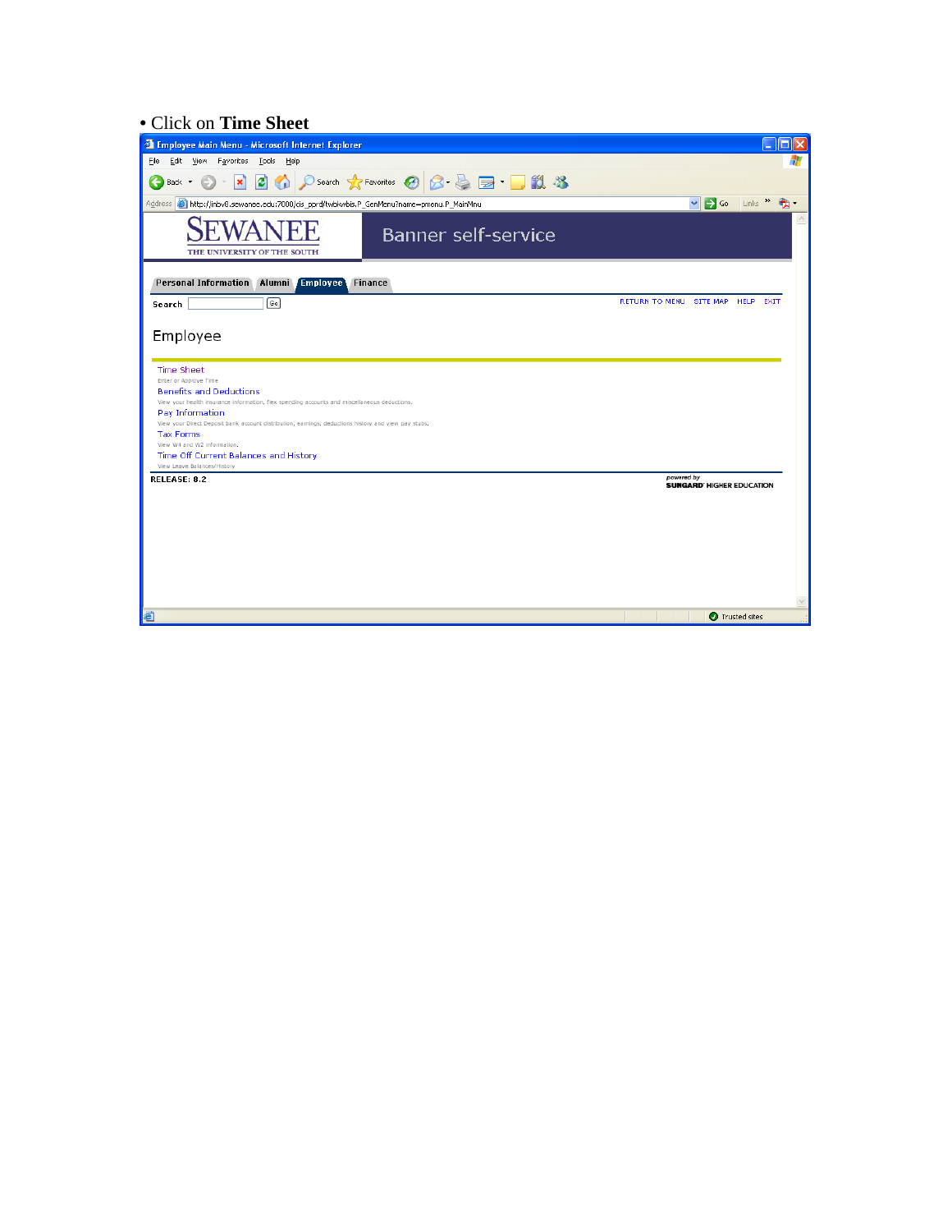## • Click on **Time Sheet**

| <sup>2</sup> Employee Main Menu - Microsoft Internet Explorer                                                                                                                                                                                                                                                                                                                                                                      |                                                     |
|------------------------------------------------------------------------------------------------------------------------------------------------------------------------------------------------------------------------------------------------------------------------------------------------------------------------------------------------------------------------------------------------------------------------------------|-----------------------------------------------------|
| Edit View Favorites Tools Help<br>Eile                                                                                                                                                                                                                                                                                                                                                                                             |                                                     |
| D Search ☆Favorites → 日 日 国 日 日 3<br>20<br>$ \mathbf{x} $<br>Back *                                                                                                                                                                                                                                                                                                                                                                |                                                     |
| Address (e) http://inbv8.sewanee.edu:7000/cis_pprd/twbkwbis.P_GenMenu?name=pmenu.P_MainMnu                                                                                                                                                                                                                                                                                                                                         | $\Rightarrow$ Go<br>$Links$ $\rightarrow$<br>$\vee$ |
| <b>Banner self-service</b><br>THE UNIVERSITY OF THE SOUTH                                                                                                                                                                                                                                                                                                                                                                          |                                                     |
| Personal Information Alumni Employee<br><b>Finance</b>                                                                                                                                                                                                                                                                                                                                                                             |                                                     |
| $\boxed{60}$<br>Search                                                                                                                                                                                                                                                                                                                                                                                                             | RETURN TO MENU SITE MAP HELP EXIT                   |
| Employee                                                                                                                                                                                                                                                                                                                                                                                                                           |                                                     |
| <b>Time Sheet</b><br>Enter or Approve Time<br><b>Benefits and Deductions</b><br>View your health insurance information, flex spending accounts and miscellaneous deductions,<br>Pay Information<br>View your Direct Deposit bank account distribution, earnings, deductions history and view pay stubs.<br><b>Tax Forms</b><br>View W4 and W2 information.<br>Time Off Current Balances and History<br>View Leave Balances/History | powered by                                          |
| <b>RELEASE: 8.2</b>                                                                                                                                                                                                                                                                                                                                                                                                                | <b>SUNGARD' HIGHER EDUCATION</b>                    |
| Ð                                                                                                                                                                                                                                                                                                                                                                                                                                  | Trusted sites                                       |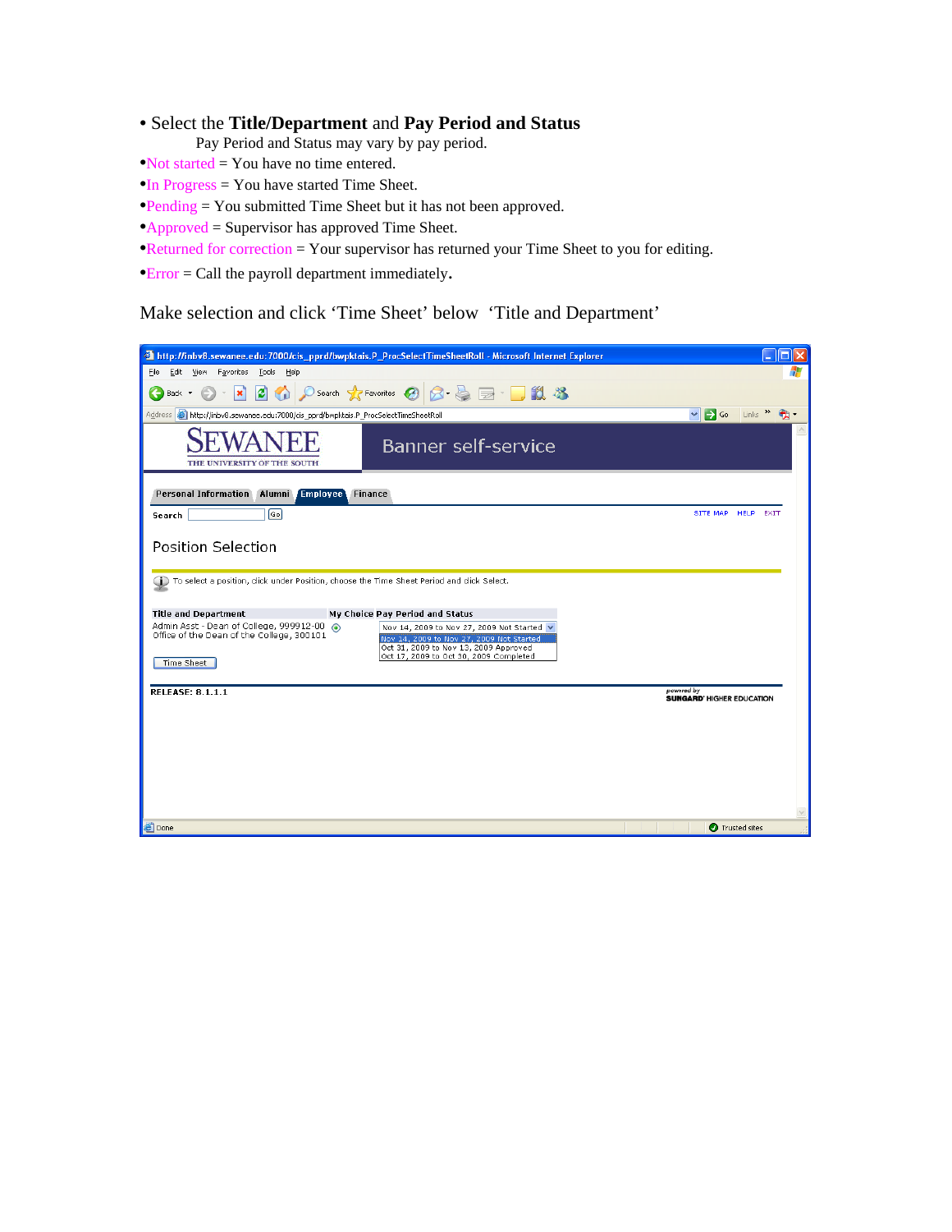- Select the **Title/Department** and **Pay Period and Status**
	- Pay Period and Status may vary by pay period.
- •Not started = You have no time entered.
- •In Progress = You have started Time Sheet.
- •Pending = You submitted Time Sheet but it has not been approved.
- •Approved = Supervisor has approved Time Sheet.
- •Returned for correction = Your supervisor has returned your Time Sheet to you for editing.
- •Error = Call the payroll department immediately.

Make selection and click 'Time Sheet' below 'Title and Department'

|                                                                                                                   | 2 http://inbv8.sewanee.edu:7000/cis_pprd/bwpktais.P_ProcSelectTimeSheetRoll - Microsoft Internet Explorer                                                                 | O                                              |  |
|-------------------------------------------------------------------------------------------------------------------|---------------------------------------------------------------------------------------------------------------------------------------------------------------------------|------------------------------------------------|--|
| Tools Help<br>Edit View Favorites<br>Eile                                                                         |                                                                                                                                                                           |                                                |  |
| e.<br>×<br>Back *                                                                                                 | ○search ☆Favorites ④ <del>② △ △ ■</del> · ■ <b>11 33</b>                                                                                                                  |                                                |  |
| Address <b>(e)</b> http://inbv8.sewanee.edu:7000/cis_pprd/bwpktais.P_ProcSelectTimeSheetRoll                      |                                                                                                                                                                           | Links >><br>$\rightarrow$ Go<br>$\checkmark$   |  |
| THE UNIVERSITY OF THE SOUTH                                                                                       | <b>Banner self-service</b>                                                                                                                                                |                                                |  |
| Personal Information Alumni Employee                                                                              | <b>Finance</b>                                                                                                                                                            |                                                |  |
| 同<br>Search                                                                                                       |                                                                                                                                                                           | SITE MAP HELP EXIT                             |  |
| Position Selection<br>(To select a position, click under Position, choose the Time Sheet Period and click Select. |                                                                                                                                                                           |                                                |  |
|                                                                                                                   |                                                                                                                                                                           |                                                |  |
| <b>Title and Department</b>                                                                                       | My Choice Pay Period and Status                                                                                                                                           |                                                |  |
| Admin Asst - Dean of College, 999912-00 (.)<br>Office of the Dean of the College, 300101<br>Time Sheet            | Nov 14, 2009 to Nov 27, 2009 Not Started v<br>Nov 14, 2009 to Nov 27, 2009 Not Started<br>Oct 31, 2009 to Nov 13, 2009 Approved<br>Oct 17, 2009 to Oct 30, 2009 Completed |                                                |  |
| <b>RELEASE: 8.1.1.1</b>                                                                                           |                                                                                                                                                                           | powered by<br><b>SUNGARD' HIGHER EDUCATION</b> |  |
|                                                                                                                   |                                                                                                                                                                           |                                                |  |
|                                                                                                                   |                                                                                                                                                                           |                                                |  |
|                                                                                                                   |                                                                                                                                                                           |                                                |  |
|                                                                                                                   |                                                                                                                                                                           |                                                |  |
|                                                                                                                   |                                                                                                                                                                           |                                                |  |
| <b>Done</b>                                                                                                       |                                                                                                                                                                           | Trusted sites                                  |  |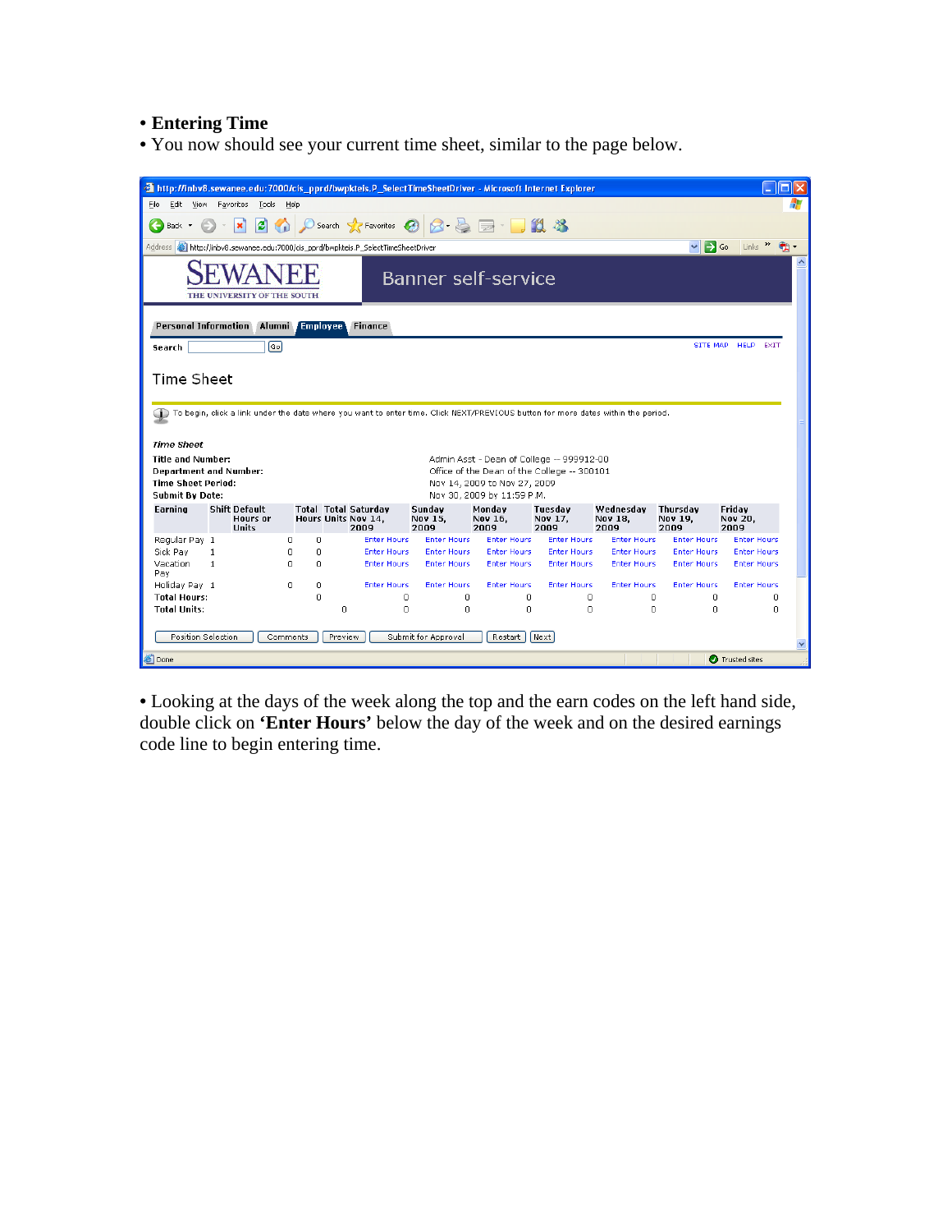## • **Entering Time**

• You now should see your current time sheet, similar to the page below.

| http://inbv8.sewanee.edu:7000/cis_pprd/bwpkteis.P_SelectTimeSheetDriver - Microsoft Internet Explorer<br>Edit<br>F <u>a</u> vorites <u>T</u> ools<br>Eile<br>View<br>Help |                                          |                                                            |                    |                    |                    |                        |  |  |
|---------------------------------------------------------------------------------------------------------------------------------------------------------------------------|------------------------------------------|------------------------------------------------------------|--------------------|--------------------|--------------------|------------------------|--|--|
|                                                                                                                                                                           |                                          |                                                            |                    |                    |                    |                        |  |  |
| $\bigcirc$ Search $\bigcirc$ Favorites $\bigcirc$ $\bigcirc$ $\bigcirc$ $\bigcirc$ $\bigcirc$ $\bigcirc$ $\bigcirc$ $\bigcirc$ $\bigcirc$ $\bigcirc$<br>e<br>Back *       |                                          |                                                            |                    |                    |                    |                        |  |  |
| Links $\rightarrow$<br>$\checkmark$<br>$\rightarrow$ Go<br>Address <b>8</b> http://inbv8.sewanee.edu:7000/cis_pprd/bwpkteis.P_SelectTimeSheetDriver                       |                                          |                                                            |                    |                    |                    |                        |  |  |
| <b>Banner self-service</b><br>THE UNIVERSITY OF THE SOUTH                                                                                                                 |                                          |                                                            |                    |                    |                    |                        |  |  |
| Personal Information Alumni Employee                                                                                                                                      | <b>Finance</b>                           |                                                            |                    |                    |                    |                        |  |  |
| 同<br>Search                                                                                                                                                               |                                          |                                                            |                    |                    | SITE MAP           | <b>HELP</b><br>EXIT    |  |  |
|                                                                                                                                                                           |                                          |                                                            |                    |                    |                    |                        |  |  |
| Time Sheet                                                                                                                                                                |                                          |                                                            |                    |                    |                    |                        |  |  |
|                                                                                                                                                                           |                                          |                                                            |                    |                    |                    |                        |  |  |
| To begin, click a link under the date where you want to enter time. Click NEXT/PREVIOUS button for more dates within the period.                                          |                                          |                                                            |                    |                    |                    |                        |  |  |
|                                                                                                                                                                           |                                          |                                                            |                    |                    |                    |                        |  |  |
| <b>Time Sheet</b>                                                                                                                                                         |                                          |                                                            |                    |                    |                    |                        |  |  |
| Title and Number:                                                                                                                                                         |                                          | Admin Asst - Dean of College -- 999912-00                  |                    |                    |                    |                        |  |  |
| Department and Number:                                                                                                                                                    |                                          | Office of the Dean of the College -- 300101                |                    |                    |                    |                        |  |  |
| <b>Time Sheet Period:</b><br><b>Submit By Date:</b>                                                                                                                       |                                          | Nov 14, 2009 to Nov 27, 2009<br>Nov 30, 2009 by 11:59 P.M. |                    |                    |                    |                        |  |  |
| <b>Shift Default</b><br><b>Total Total Saturday</b><br>Earning                                                                                                            | Sundav                                   | Mondav                                                     | Tuesdav            | Wednesdav          | Thursdav           | Friday                 |  |  |
| <b>Hours Units Nov 14.</b><br>Hours or<br><b>Hnits</b>                                                                                                                    | Nov 15.<br>2009<br>2009                  | Nov 16.<br>2009                                            | Nov 17,<br>2009    | Nov 18.<br>2009    | Nov 19,<br>2009    | <b>Nov 20.</b><br>2009 |  |  |
| Regular Pay 1<br>$\Omega$<br>n                                                                                                                                            | <b>Enter Hours</b><br><b>Enter Hours</b> | <b>Enter Hours</b>                                         | <b>Enter Hours</b> | <b>Enter Hours</b> | <b>Enter Hours</b> | <b>Enter Hours</b>     |  |  |
| Sick Pay<br>n<br>0<br>1                                                                                                                                                   | <b>Enter Hours</b><br><b>Enter Hours</b> | <b>Enter Hours</b>                                         | <b>Enter Hours</b> | <b>Enter Hours</b> | <b>Enter Hours</b> | <b>Enter Hours</b>     |  |  |
| Vacation<br>$\mathbf{1}$<br>$\Omega$<br>$\Omega$<br>Pav                                                                                                                   | <b>Enter Hours</b><br><b>Enter Hours</b> | <b>Enter Hours</b>                                         | <b>Enter Hours</b> | <b>Enter Hours</b> | <b>Enter Hours</b> | <b>Enter Hours</b>     |  |  |
| Holiday Pay 1<br>n<br>0                                                                                                                                                   | <b>Enter Hours</b><br><b>Enter Hours</b> | <b>Enter Hours</b>                                         | <b>Enter Hours</b> | <b>Enter Hours</b> | <b>Enter Hours</b> | <b>Enter Hours</b>     |  |  |
| $\Omega$<br><b>Total Hours:</b>                                                                                                                                           | 0<br>0                                   | 0                                                          | 0                  | 0                  | 0                  | 0                      |  |  |
| $\circ$<br><b>Total Units:</b>                                                                                                                                            | $\Omega$<br>0                            | $\circ$                                                    | $\circ$            | $\Omega$           | $\Omega$           | 0                      |  |  |
|                                                                                                                                                                           |                                          |                                                            |                    |                    |                    |                        |  |  |
| Position Selection<br>Submit for Approval<br>Next<br><b>Comments</b><br>Preview<br>Restart                                                                                |                                          |                                                            |                    |                    |                    |                        |  |  |
| <b>Done</b>                                                                                                                                                               |                                          |                                                            |                    |                    |                    | <b>O</b> Trusted sites |  |  |

• Looking at the days of the week along the top and the earn codes on the left hand side, double click on **'Enter Hours'** below the day of the week and on the desired earnings code line to begin entering time.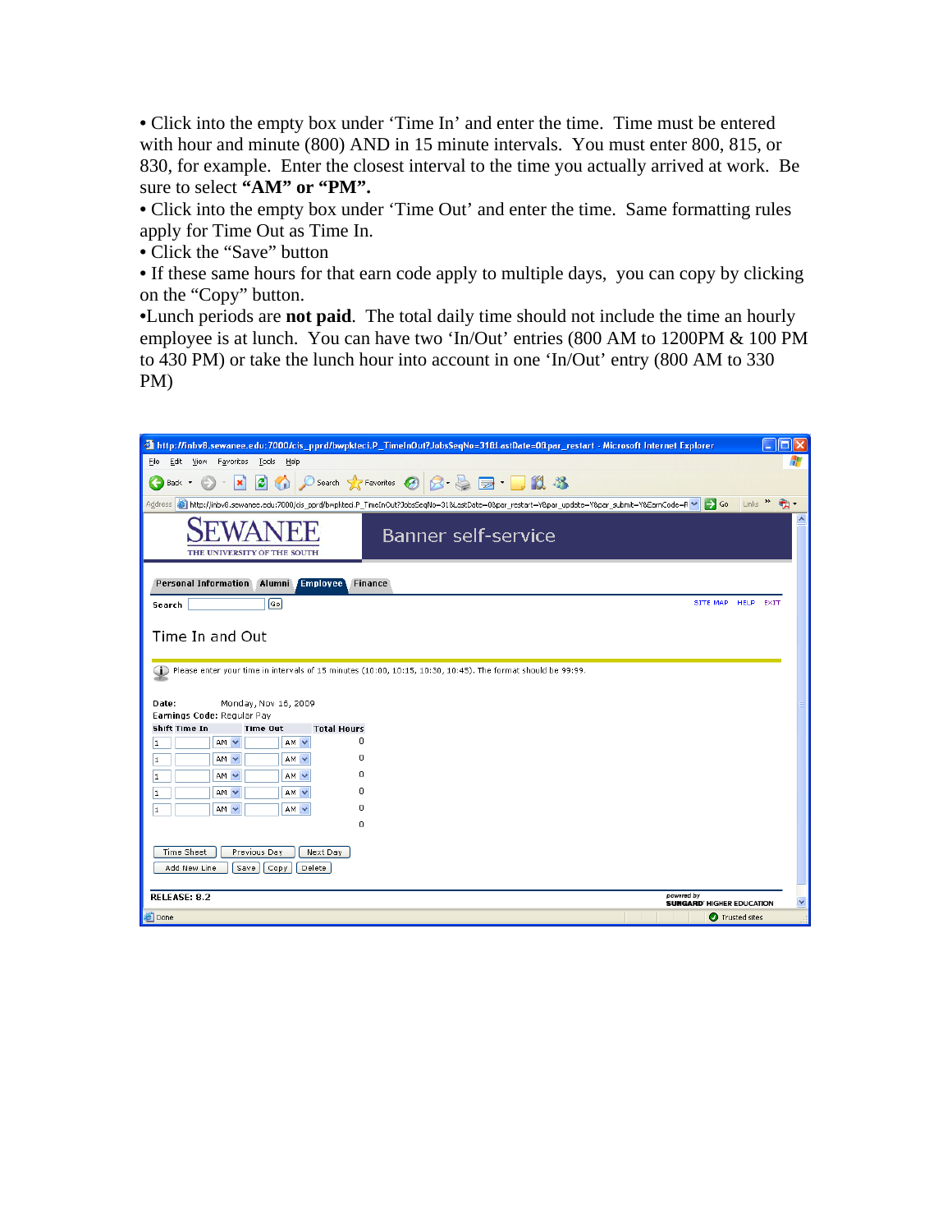• Click into the empty box under 'Time In' and enter the time. Time must be entered with hour and minute (800) AND in 15 minute intervals. You must enter 800, 815, or 830, for example. Enter the closest interval to the time you actually arrived at work. Be sure to select **"AM" or "PM".** 

• Click into the empty box under 'Time Out' and enter the time. Same formatting rules apply for Time Out as Time In.

• Click the "Save" button

• If these same hours for that earn code apply to multiple days, you can copy by clicking on the "Copy" button.

•Lunch periods are **not paid**. The total daily time should not include the time an hourly employee is at lunch. You can have two 'In/Out' entries (800 AM to 1200PM & 100 PM to 430 PM) or take the lunch hour into account in one 'In/Out' entry (800 AM to 330 PM)

|                                                                                  | <sup>2</sup> http://inbv8.sewanee.edu:7000/cis_pprd/bwpkteci.P_TimelnOut?JobsSeqNo=31&LastDate=0∥_restart - Microsoft Internet Explorer                                       | п<br>$\blacksquare$ |
|----------------------------------------------------------------------------------|-------------------------------------------------------------------------------------------------------------------------------------------------------------------------------|---------------------|
| Favorites<br>Tools<br>Help<br>Eile<br>Edit<br>View                               |                                                                                                                                                                               |                     |
| ١đ<br>×<br>G.<br>Back *                                                          | Search ☆Favorites ④ Q - A - D 11 %                                                                                                                                            |                     |
|                                                                                  | Address <b>3</b> http://inbv8.sewanee.edu:7000/cis_pprd/bwpkteci.P_TimeInOut?JobsSeqNo=318LastDate=08par_restart=Y8par_update=Y8par_submit=Y8EarnCode=R V<br>$\Rightarrow$ Go | Links $\rightarrow$ |
| THE UNIVERSITY OF THE SOUTH                                                      | <b>Banner self-service</b>                                                                                                                                                    |                     |
| <b>Personal Information</b><br>Alumni<br><b>Employee</b>                         | <b>Finance</b>                                                                                                                                                                |                     |
| $\boxed{^{Go}}$<br>Search                                                        | SITE MAP                                                                                                                                                                      | <b>HELP</b><br>EXIT |
| Time In and Out<br>Date:<br>Monday, Nov 16, 2009<br>Earnings Code: Regular Pay   | Please enter your time in intervals of 15 minutes (10:00, 10:15, 10:30, 10:45). The format should be 99:99.                                                                   |                     |
| Shift Time In<br><b>Total Hours</b><br>Time Out                                  |                                                                                                                                                                               |                     |
| 0<br>$AM$ $\vee$<br>AM V<br>1                                                    |                                                                                                                                                                               |                     |
| n<br>$AM$ $\vee$<br>$AM$ $\vee$<br>1                                             |                                                                                                                                                                               |                     |
| Ω<br>$AM$ $\vee$<br>$AM$ $\vee$<br>1                                             |                                                                                                                                                                               |                     |
| n<br>$AM$ $\vee$<br>$AM \vee$<br>1                                               |                                                                                                                                                                               |                     |
| Ω<br>$AM$ $\vee$<br>AM V<br>1                                                    |                                                                                                                                                                               |                     |
| 0                                                                                |                                                                                                                                                                               |                     |
| Time Sheet<br>Next Day<br>Previous Day<br>Add New Line<br>Delete<br>Save<br>Copy |                                                                                                                                                                               |                     |
| RELEASE: 8.2                                                                     | powered by<br><b>SUNGARD' HIGHER EDUCATION</b>                                                                                                                                | ×                   |
| <b>Done</b>                                                                      | <b>O</b> Trusted sites                                                                                                                                                        |                     |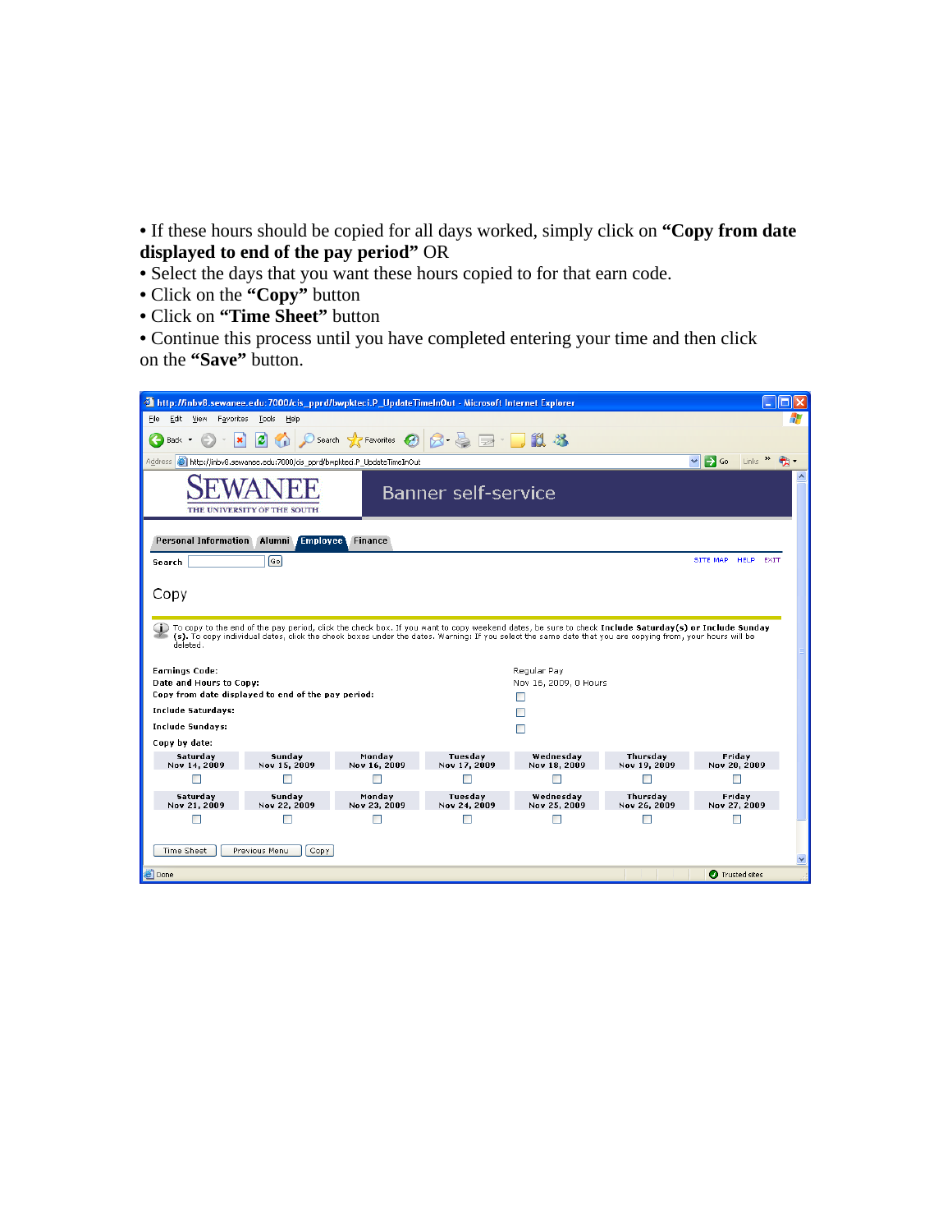• If these hours should be copied for all days worked, simply click on **"Copy from date displayed to end of the pay period"** OR

• Select the days that you want these hours copied to for that earn code.

- Click on the **"Copy"** button
- Click on **"Time Sheet"** button

• Continue this process until you have completed entering your time and then click on the **"Save"** button.

| http://inbv8.sewanee.edu:7000/cis_pprd/bwpkteci.P_UpdateTimeInOut - Microsoft Internet Explorer                                                   |                                                                                                                                                                                                                                                                                                                  |                        |                         |                           |                          |                        |  |  |  |  |
|---------------------------------------------------------------------------------------------------------------------------------------------------|------------------------------------------------------------------------------------------------------------------------------------------------------------------------------------------------------------------------------------------------------------------------------------------------------------------|------------------------|-------------------------|---------------------------|--------------------------|------------------------|--|--|--|--|
| Edit<br>Tools<br>Help<br>Eile<br>View<br>Favorites                                                                                                |                                                                                                                                                                                                                                                                                                                  |                        |                         |                           |                          |                        |  |  |  |  |
| $O$ Search $\sqrt{\chi}$ Favorites $\Theta$ $\Theta$ $\Theta$ $\Theta$ $\Box$<br>١đ<br>Back *<br>×                                                |                                                                                                                                                                                                                                                                                                                  |                        |                         |                           |                          |                        |  |  |  |  |
| $\rightarrow$ Go<br>Links $\rightarrow$<br>Address <b>&amp;</b> http://inbv8.sewanee.edu:7000/cis_pprd/bwpkteci.P_UpdateTimeInOut<br>$\checkmark$ |                                                                                                                                                                                                                                                                                                                  |                        |                         |                           |                          |                        |  |  |  |  |
| <b>Banner self-service</b><br>THE UNIVERSITY OF THE SOUTH                                                                                         |                                                                                                                                                                                                                                                                                                                  |                        |                         |                           |                          |                        |  |  |  |  |
|                                                                                                                                                   | Personal Information Alumni Employee                                                                                                                                                                                                                                                                             | <b>Finance</b>         |                         |                           |                          |                        |  |  |  |  |
| Search                                                                                                                                            | ெ                                                                                                                                                                                                                                                                                                                |                        |                         |                           |                          | SITE MAP<br>HELP EXIT  |  |  |  |  |
| Copy<br>deleted.                                                                                                                                  | To copy to the end of the pay period, click the check box. If you want to copy weekend dates, be sure to check Include Saturday(s) or Include Sunday<br>(s). To copy individual dates, click the check boxes under the dates. Warning: If you select the same date that you are copying from, your hours will be |                        |                         |                           |                          |                        |  |  |  |  |
| <b>Earnings Code:</b>                                                                                                                             |                                                                                                                                                                                                                                                                                                                  |                        |                         | Regular Pav               |                          |                        |  |  |  |  |
| Date and Hours to Copy:                                                                                                                           | Copy from date displayed to end of the pay period:                                                                                                                                                                                                                                                               |                        |                         | Nov 16, 2009, 0 Hours     |                          |                        |  |  |  |  |
| <b>Include Saturdays:</b>                                                                                                                         |                                                                                                                                                                                                                                                                                                                  |                        |                         |                           |                          |                        |  |  |  |  |
| <b>Include Sundays:</b>                                                                                                                           |                                                                                                                                                                                                                                                                                                                  |                        |                         | П                         |                          |                        |  |  |  |  |
| Copy by date:                                                                                                                                     |                                                                                                                                                                                                                                                                                                                  |                        |                         |                           |                          |                        |  |  |  |  |
| Saturday<br>Nov 14, 2009                                                                                                                          | Sunday<br>Nov 15, 2009                                                                                                                                                                                                                                                                                           | Monday<br>Nov 16, 2009 | Tuesday<br>Nov 17, 2009 | Wednesday<br>Nov 18, 2009 | Thursday<br>Nov 19, 2009 | Friday<br>Nov 20, 2009 |  |  |  |  |
| $\Box$                                                                                                                                            | П                                                                                                                                                                                                                                                                                                                | П                      | П                       | П                         | ■                        | П                      |  |  |  |  |
| Saturday                                                                                                                                          | Monday<br>Wednesday<br>Thursday<br>Sunday<br>Tuesday<br>Friday                                                                                                                                                                                                                                                   |                        |                         |                           |                          |                        |  |  |  |  |
| Nov 21, 2009<br>П                                                                                                                                 | Nov 22, 2009                                                                                                                                                                                                                                                                                                     | Nov 23, 2009<br>П      | Nov 24, 2009<br>П       | Nov 25, 2009<br>П         | Nov 26, 2009<br>□        | Nov 27, 2009<br>┍      |  |  |  |  |
|                                                                                                                                                   |                                                                                                                                                                                                                                                                                                                  |                        |                         |                           |                          |                        |  |  |  |  |
| Time Sheet<br>Previous Menu<br>Copy                                                                                                               |                                                                                                                                                                                                                                                                                                                  |                        |                         |                           |                          |                        |  |  |  |  |
| <b>Done</b>                                                                                                                                       | <b>O</b> Trusted sites                                                                                                                                                                                                                                                                                           |                        |                         |                           |                          |                        |  |  |  |  |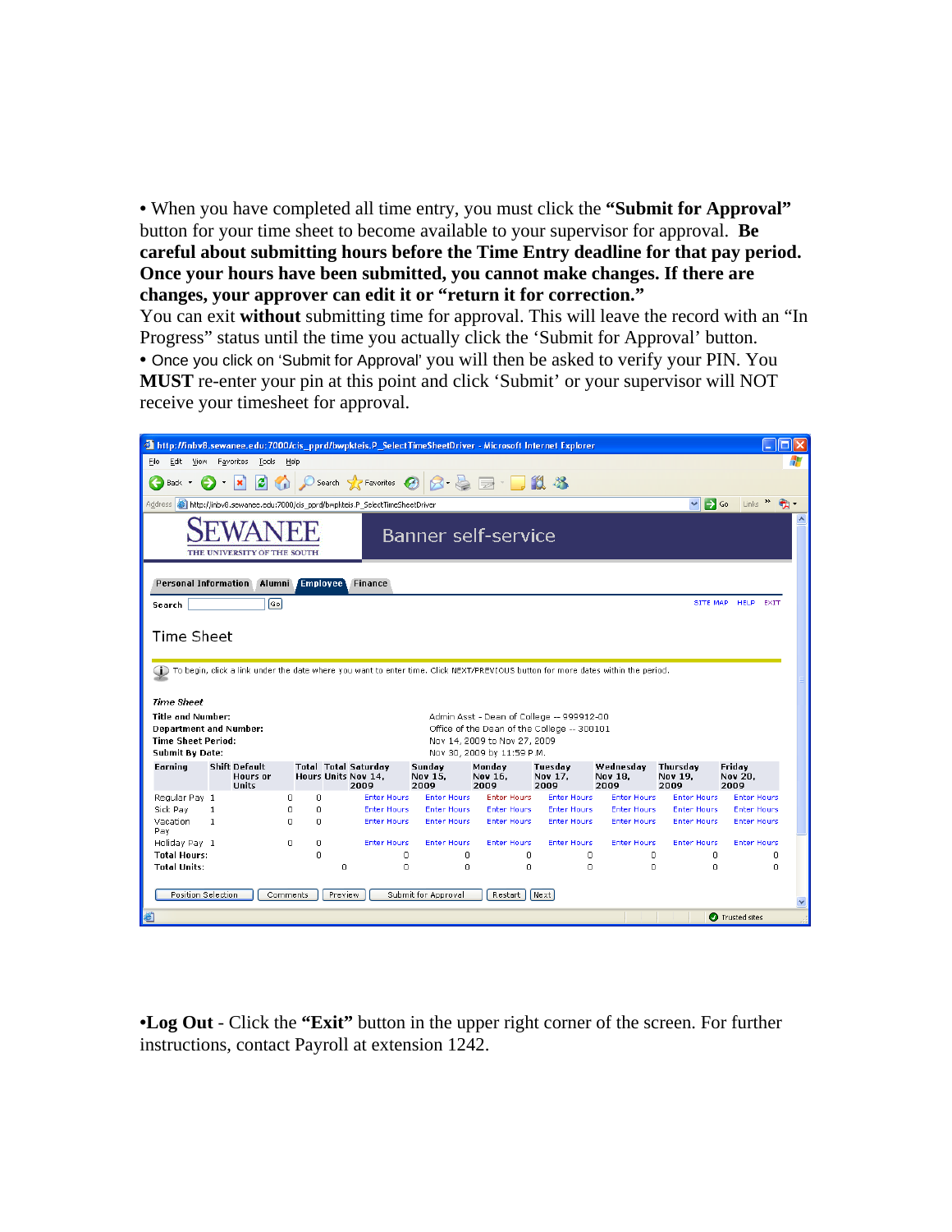• When you have completed all time entry, you must click the **"Submit for Approval"** button for your time sheet to become available to your supervisor for approval. **Be careful about submitting hours before the Time Entry deadline for that pay period. Once your hours have been submitted, you cannot make changes. If there are changes, your approver can edit it or "return it for correction."** 

You can exit **without** submitting time for approval. This will leave the record with an "In Progress" status until the time you actually click the 'Submit for Approval' button. • Once you click on 'Submit for Approval' you will then be asked to verify your PIN. You **MUST** re-enter your pin at this point and click 'Submit' or your supervisor will NOT receive your timesheet for approval.

| http://inbv8.sewanee.edu:7000/cis_pprd/bwpkteis.P_SelectTimeSheetDriver - Microsoft Internet Explorer            |                                                                                                                                  |                              |                                                            |                                          |                                          |                                                            |                                                                                          |                              | п                                |                                          |  |
|------------------------------------------------------------------------------------------------------------------|----------------------------------------------------------------------------------------------------------------------------------|------------------------------|------------------------------------------------------------|------------------------------------------|------------------------------------------|------------------------------------------------------------|------------------------------------------------------------------------------------------|------------------------------|----------------------------------|------------------------------------------|--|
| Favorites Tools Help<br>Edit<br>View<br>File                                                                     |                                                                                                                                  |                              |                                                            |                                          |                                          |                                                            |                                                                                          |                              |                                  |                                          |  |
| Back *                                                                                                           | ○search ☆Favorites ④ 2 总 国 ■ ■ 13 %<br>i 21<br>$\boldsymbol{\mathsf{x}}$<br>$\bigcirc$                                           |                              |                                                            |                                          |                                          |                                                            |                                                                                          |                              |                                  |                                          |  |
| Address                                                                                                          | http://inbv8.sewanee.edu:7000/cis_pprd/bwpkteis.P_SelectTimeSheetDriver                                                          |                              |                                                            |                                          |                                          |                                                            |                                                                                          |                              | $\Rightarrow$ Go<br>$\checkmark$ | Links >>                                 |  |
|                                                                                                                  | <b>Banner self-service</b><br>THE UNIVERSITY OF THE SOUTH                                                                        |                              |                                                            |                                          |                                          |                                                            |                                                                                          |                              |                                  |                                          |  |
| Personal Information                                                                                             | Alumni                                                                                                                           | Employee                     |                                                            | <b>Finance</b>                           |                                          |                                                            |                                                                                          |                              |                                  |                                          |  |
| Search                                                                                                           | Go                                                                                                                               |                              |                                                            |                                          |                                          |                                                            |                                                                                          |                              |                                  | SITE MAP HELP<br>EXIT                    |  |
| Time Sheet                                                                                                       | To begin, click a link under the date where you want to enter time. Click NEXT/PREVIOUS button for more dates within the period. |                              |                                                            |                                          |                                          |                                                            |                                                                                          |                              |                                  |                                          |  |
| <b>Time Sheet</b>                                                                                                |                                                                                                                                  |                              |                                                            |                                          |                                          |                                                            |                                                                                          |                              |                                  |                                          |  |
| <b>Title and Number:</b><br><b>Department and Number:</b><br><b>Time Sheet Period:</b><br><b>Submit By Date:</b> |                                                                                                                                  |                              |                                                            |                                          |                                          | Nov 14, 2009 to Nov 27, 2009<br>Nov 30, 2009 by 11:59 P.M. | Admin Asst - Dean of College -- 999912-00<br>Office of the Dean of the College -- 300101 |                              |                                  |                                          |  |
| Earning                                                                                                          | <b>Shift Default</b><br>Hours or<br><b>Units</b>                                                                                 |                              | <b>Total Total Saturday</b><br>Hours Units Nov 14.<br>2009 |                                          | Sunday<br>Nov 15.<br>2009                | Monday<br>Nov 16.<br>2009                                  | Tuesday<br>Nov 17,<br>2009                                                               | Wednesday<br>Nov 18,<br>2009 | Thursday<br>Nov 19,<br>2009      | Fridav<br><b>Nov 20.</b><br>2009         |  |
| Regular Pay 1                                                                                                    |                                                                                                                                  | $\Omega$<br>$\Box$           |                                                            | <b>Enter Hours</b>                       | <b>Enter Hours</b>                       | <b>Enter Hours</b>                                         | <b>Enter Hours</b>                                                                       | <b>Enter Hours</b>           | <b>Enter Hours</b>               | <b>Enter Hours</b>                       |  |
| Sick Pay                                                                                                         | $\mathbf{1}$                                                                                                                     | n<br>n<br>$\Omega$<br>$\Box$ |                                                            | <b>Enter Hours</b><br><b>Enter Hours</b> | <b>Enter Hours</b><br><b>Enter Hours</b> | <b>Enter Hours</b><br><b>Enter Hours</b>                   | <b>Enter Hours</b><br><b>Enter Hours</b>                                                 | <b>Enter Hours</b>           | <b>Enter Hours</b>               | <b>Enter Hours</b><br><b>Enter Hours</b> |  |
| Vacation<br>Pay                                                                                                  | $\mathbf{1}$                                                                                                                     |                              |                                                            |                                          |                                          |                                                            |                                                                                          | <b>Enter Hours</b>           | <b>Enter Hours</b>               |                                          |  |
| Holiday Pay 1                                                                                                    |                                                                                                                                  | 0<br>0                       |                                                            | <b>Enter Hours</b>                       | <b>Enter Hours</b>                       | <b>Enter Hours</b>                                         | <b>Enter Hours</b>                                                                       | <b>Enter Hours</b>           | <b>Enter Hours</b>               | <b>Enter Hours</b>                       |  |
| <b>Total Hours:</b><br><b>Total Units:</b>                                                                       |                                                                                                                                  | $\Omega$                     | $\Omega$                                                   | 0<br>$\Omega$                            | 0<br>$\Omega$                            | 0<br>$\Box$                                                | 0<br>$\Omega$                                                                            | 0<br>$\Omega$                | 0<br>$\Omega$                    | $\Omega$<br>O.                           |  |
| Position Selection<br>Submit for Approval<br>Next<br>Comments<br>Preview<br>Restart                              |                                                                                                                                  |                              |                                                            |                                          |                                          |                                                            |                                                                                          |                              |                                  |                                          |  |
| ð                                                                                                                |                                                                                                                                  |                              |                                                            |                                          |                                          |                                                            |                                                                                          |                              |                                  | Trusted sites                            |  |

•**Log Out** - Click the **"Exit"** button in the upper right corner of the screen. For further instructions, contact Payroll at extension 1242.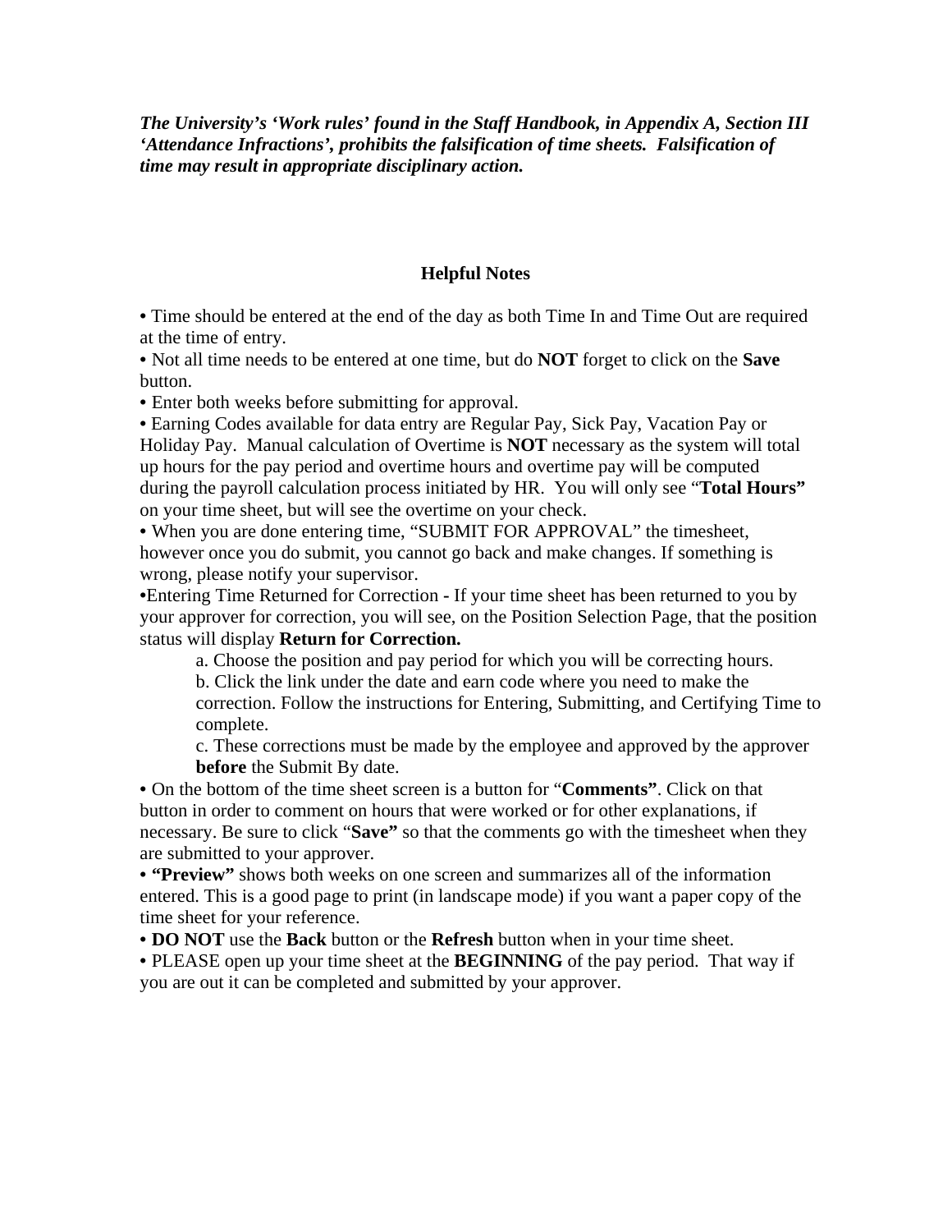*The University's 'Work rules' found in the Staff Handbook, in Appendix A, Section III 'Attendance Infractions', prohibits the falsification of time sheets. Falsification of time may result in appropriate disciplinary action.* 

#### **Helpful Notes**

• Time should be entered at the end of the day as both Time In and Time Out are required at the time of entry.

• Not all time needs to be entered at one time, but do **NOT** forget to click on the **Save** button.

• Enter both weeks before submitting for approval.

• Earning Codes available for data entry are Regular Pay, Sick Pay, Vacation Pay or Holiday Pay. Manual calculation of Overtime is **NOT** necessary as the system will total up hours for the pay period and overtime hours and overtime pay will be computed during the payroll calculation process initiated by HR. You will only see "**Total Hours"**  on your time sheet, but will see the overtime on your check.

• When you are done entering time, "SUBMIT FOR APPROVAL" the timesheet, however once you do submit, you cannot go back and make changes. If something is wrong, please notify your supervisor.

•Entering Time Returned for Correction **-** If your time sheet has been returned to you by your approver for correction, you will see, on the Position Selection Page, that the position status will display **Return for Correction.** 

a. Choose the position and pay period for which you will be correcting hours. b. Click the link under the date and earn code where you need to make the correction. Follow the instructions for Entering, Submitting, and Certifying Time to complete.

c. These corrections must be made by the employee and approved by the approver **before** the Submit By date.

• On the bottom of the time sheet screen is a button for "**Comments"**. Click on that button in order to comment on hours that were worked or for other explanations, if necessary. Be sure to click "**Save"** so that the comments go with the timesheet when they are submitted to your approver.

• **"Preview"** shows both weeks on one screen and summarizes all of the information entered. This is a good page to print (in landscape mode) if you want a paper copy of the time sheet for your reference.

• **DO NOT** use the **Back** button or the **Refresh** button when in your time sheet.

• PLEASE open up your time sheet at the **BEGINNING** of the pay period. That way if you are out it can be completed and submitted by your approver.